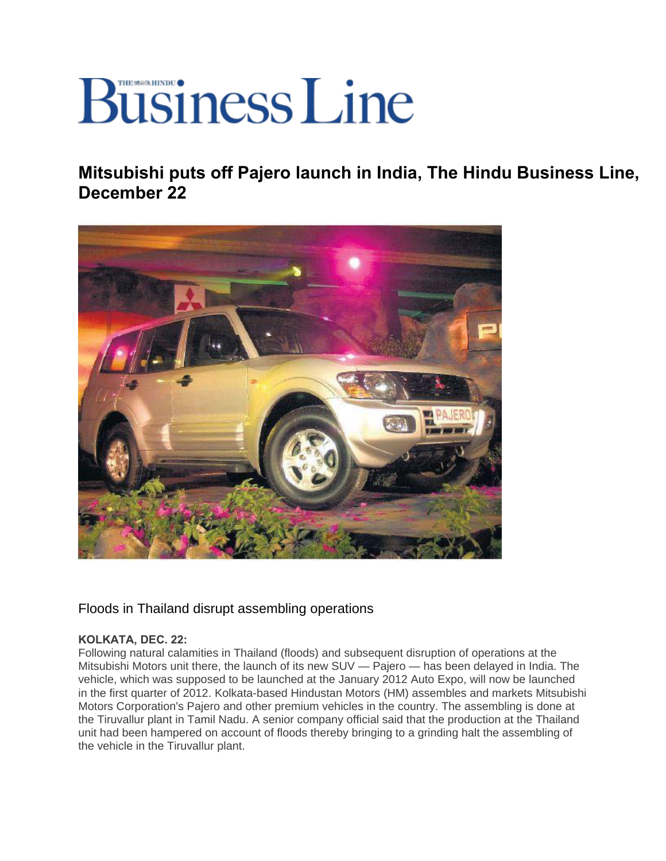## **Business Line**

**Mitsubishi puts off Pajero launch in India, The Hindu Business Line, December 22** 



Floods in Thailand disrupt assembling operations

## **KOLKATA, DEC. 22:**

Following natural calamities in Thailand (floods) and subsequent disruption of operations at the Mitsubishi Motors unit there, the launch of its new SUV — Pajero — has been delayed in India. The vehicle, which was supposed to be launched at the January 2012 Auto Expo, will now be launched in the first quarter of 2012. Kolkata-based Hindustan Motors (HM) assembles and markets Mitsubishi Motors Corporation's Pajero and other premium vehicles in the country. The assembling is done at the Tiruvallur plant in Tamil Nadu. A senior company official said that the production at the Thailand unit had been hampered on account of floods thereby bringing to a grinding halt the assembling of the vehicle in the Tiruvallur plant.